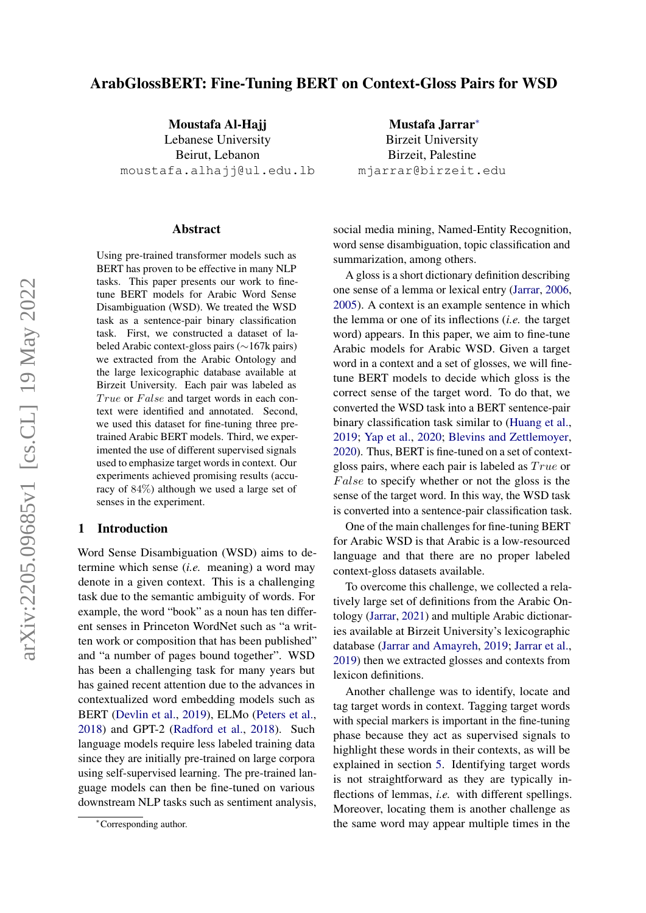# ArabGlossBERT: Fine-Tuning BERT on Context-Gloss Pairs for WSD

Moustafa Al-Hajj Lebanese University Beirut, Lebanon moustafa.alhajj@ul.edu.lb

#### Abstract

Using pre-trained transformer models such as BERT has proven to be effective in many NLP tasks. This paper presents our work to finetune BERT models for Arabic Word Sense Disambiguation (WSD). We treated the WSD task as a sentence-pair binary classification task. First, we constructed a dataset of labeled Arabic context-gloss pairs (∼167k pairs) we extracted from the Arabic Ontology and the large lexicographic database available at Birzeit University. Each pair was labeled as True or False and target words in each context were identified and annotated. Second, we used this dataset for fine-tuning three pretrained Arabic BERT models. Third, we experimented the use of different supervised signals used to emphasize target words in context. Our experiments achieved promising results (accuracy of 84%) although we used a large set of senses in the experiment.

### <span id="page-0-0"></span>1 Introduction

Word Sense Disambiguation (WSD) aims to determine which sense (*i.e.* meaning) a word may denote in a given context. This is a challenging task due to the semantic ambiguity of words. For example, the word "book" as a noun has ten different senses in Princeton WordNet such as "a written work or composition that has been published" and "a number of pages bound together". WSD has been a challenging task for many years but has gained recent attention due to the advances in contextualized word embedding models such as BERT [\(Devlin et al.,](#page-7-0) [2019\)](#page-7-0), ELMo [\(Peters et al.,](#page-7-1) [2018\)](#page-7-1) and GPT-2 [\(Radford et al.,](#page-8-0) [2018\)](#page-8-0). Such language models require less labeled training data since they are initially pre-trained on large corpora using self-supervised learning. The pre-trained language models can then be fine-tuned on various downstream NLP tasks such as sentiment analysis,

Birzeit University Birzeit, Palestine mjarrar@birzeit.edu

Mustafa Jarrar<sup>∗</sup>

social media mining, Named-Entity Recognition, word sense disambiguation, topic classification and summarization, among others.

A gloss is a short dictionary definition describing one sense of a lemma or lexical entry [\(Jarrar,](#page-7-2) [2006,](#page-7-2) [2005\)](#page-7-3). A context is an example sentence in which the lemma or one of its inflections (*i.e.* the target word) appears. In this paper, we aim to fine-tune Arabic models for Arabic WSD. Given a target word in a context and a set of glosses, we will finetune BERT models to decide which gloss is the correct sense of the target word. To do that, we converted the WSD task into a BERT sentence-pair binary classification task similar to [\(Huang et al.,](#page-7-4) [2019;](#page-7-4) [Yap et al.,](#page-8-1) [2020;](#page-8-1) [Blevins and Zettlemoyer,](#page-6-0) [2020\)](#page-6-0). Thus, BERT is fine-tuned on a set of contextgloss pairs, where each pair is labeled as  $True$  or False to specify whether or not the gloss is the sense of the target word. In this way, the WSD task is converted into a sentence-pair classification task.

One of the main challenges for fine-tuning BERT for Arabic WSD is that Arabic is a low-resourced language and that there are no proper labeled context-gloss datasets available.

To overcome this challenge, we collected a relatively large set of definitions from the Arabic Ontology [\(Jarrar,](#page-7-5) [2021\)](#page-7-5) and multiple Arabic dictionaries available at Birzeit University's lexicographic database [\(Jarrar and Amayreh,](#page-7-6) [2019;](#page-7-6) [Jarrar et al.,](#page-7-7) [2019\)](#page-7-7) then we extracted glosses and contexts from lexicon definitions.

Another challenge was to identify, locate and tag target words in context. Tagging target words with special markers is important in the fine-tuning phase because they act as supervised signals to highlight these words in their contexts, as will be explained in section [5.](#page-4-0) Identifying target words is not straightforward as they are typically inflections of lemmas, *i.e.* with different spellings. Moreover, locating them is another challenge as the same word may appear multiple times in the

<sup>∗</sup>Corresponding author.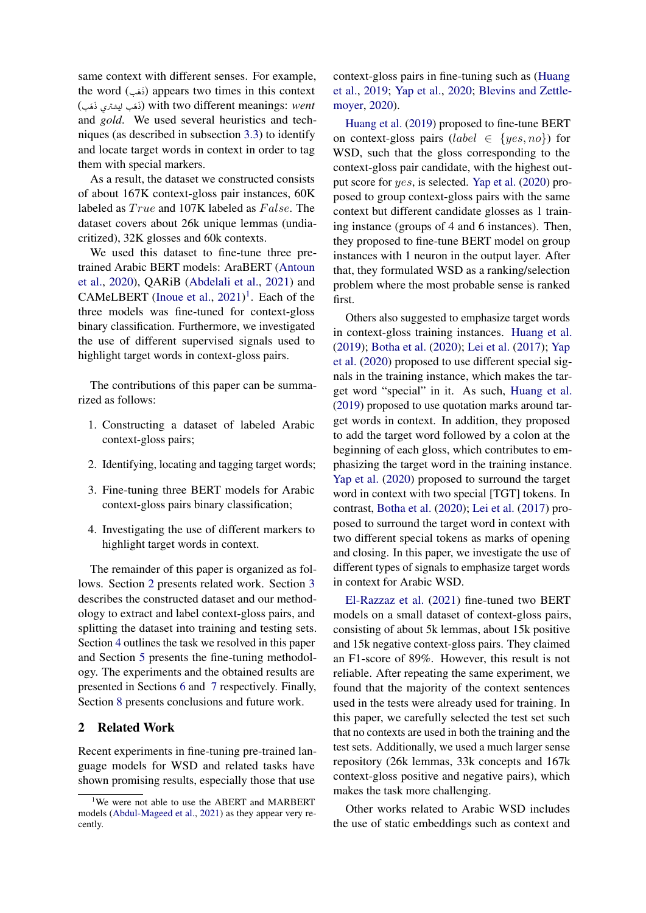same context with different senses. For example, the word (نَمَب) appears two times in this context .<br>. J ׇ֦֧֡ (I. ë X ø Q Ë I. ë X) with two different meanings: *went* .<br>. j  $\overline{\phantom{a}}$  and *gold*. We used several heuristics and tech-J ï ؚ<br>؞ ֚֚ niques (as described in subsection [3.3\)](#page-3-0) to identify and locate target words in context in order to tag them with special markers.

As a result, the dataset we constructed consists of about 167K context-gloss pair instances, 60K labeled as  $True$  and 107K labeled as  $False$ . The dataset covers about 26k unique lemmas (undiacritized), 32K glosses and 60k contexts.

We used this dataset to fine-tune three pretrained Arabic BERT models: AraBERT [\(Antoun](#page-6-1) [et al.,](#page-6-1) [2020\)](#page-6-1), QARiB [\(Abdelali et al.,](#page-6-2) [2021\)](#page-6-2) and CAMeLBERT [\(Inoue et al.,](#page-7-8)  $2021$  $2021$ )<sup>1</sup>. Each of the three models was fine-tuned for context-gloss binary classification. Furthermore, we investigated the use of different supervised signals used to highlight target words in context-gloss pairs.

The contributions of this paper can be summarized as follows:

- 1. Constructing a dataset of labeled Arabic context-gloss pairs;
- 2. Identifying, locating and tagging target words;
- 3. Fine-tuning three BERT models for Arabic context-gloss pairs binary classification;
- 4. Investigating the use of different markers to highlight target words in context.

The remainder of this paper is organized as follows. Section [2](#page-1-1) presents related work. Section [3](#page-2-0) describes the constructed dataset and our methodology to extract and label context-gloss pairs, and splitting the dataset into training and testing sets. Section [4](#page-4-1) outlines the task we resolved in this paper and Section [5](#page-4-0) presents the fine-tuning methodology. The experiments and the obtained results are presented in Sections [6](#page-5-0) and [7](#page-5-1) respectively. Finally, Section [8](#page-5-2) presents conclusions and future work.

## <span id="page-1-1"></span>2 Related Work

Recent experiments in fine-tuning pre-trained language models for WSD and related tasks have shown promising results, especially those that use context-gloss pairs in fine-tuning such as [\(Huang](#page-7-4) [et al.,](#page-7-4) [2019;](#page-7-4) [Yap et al.,](#page-8-1) [2020;](#page-8-1) [Blevins and Zettle](#page-6-0)[moyer,](#page-6-0) [2020\)](#page-6-0).

[Huang et al.](#page-7-4) [\(2019\)](#page-7-4) proposed to fine-tune BERT on context-gloss pairs (*label*  $\in \{yes, no\}$ ) for WSD, such that the gloss corresponding to the context-gloss pair candidate, with the highest output score for yes, is selected. [Yap et al.](#page-8-1) [\(2020\)](#page-8-1) proposed to group context-gloss pairs with the same context but different candidate glosses as 1 training instance (groups of 4 and 6 instances). Then, they proposed to fine-tune BERT model on group instances with 1 neuron in the output layer. After that, they formulated WSD as a ranking/selection problem where the most probable sense is ranked first.

Others also suggested to emphasize target words in context-gloss training instances. [Huang et al.](#page-7-4) [\(2019\)](#page-7-4); [Botha et al.](#page-6-4) [\(2020\)](#page-6-4); [Lei et al.](#page-7-9) [\(2017\)](#page-7-9); [Yap](#page-8-1) [et al.](#page-8-1) [\(2020\)](#page-8-1) proposed to use different special signals in the training instance, which makes the target word "special" in it. As such, [Huang et al.](#page-7-4) [\(2019\)](#page-7-4) proposed to use quotation marks around target words in context. In addition, they proposed to add the target word followed by a colon at the beginning of each gloss, which contributes to emphasizing the target word in the training instance. [Yap et al.](#page-8-1) [\(2020\)](#page-8-1) proposed to surround the target word in context with two special [TGT] tokens. In contrast, [Botha et al.](#page-6-4) [\(2020\)](#page-6-4); [Lei et al.](#page-7-9) [\(2017\)](#page-7-9) proposed to surround the target word in context with two different special tokens as marks of opening and closing. In this paper, we investigate the use of different types of signals to emphasize target words in context for Arabic WSD.

[El-Razzaz et al.](#page-7-10) [\(2021\)](#page-7-10) fine-tuned two BERT models on a small dataset of context-gloss pairs, consisting of about 5k lemmas, about 15k positive and 15k negative context-gloss pairs. They claimed an F1-score of 89%. However, this result is not reliable. After repeating the same experiment, we found that the majority of the context sentences used in the tests were already used for training. In this paper, we carefully selected the test set such that no contexts are used in both the training and the test sets. Additionally, we used a much larger sense repository (26k lemmas, 33k concepts and 167k context-gloss positive and negative pairs), which makes the task more challenging.

Other works related to Arabic WSD includes the use of static embeddings such as context and

<span id="page-1-0"></span><sup>&</sup>lt;sup>1</sup>We were not able to use the ABERT and MARBERT models [\(Abdul-Mageed et al.,](#page-6-3) [2021\)](#page-6-3) as they appear very recently.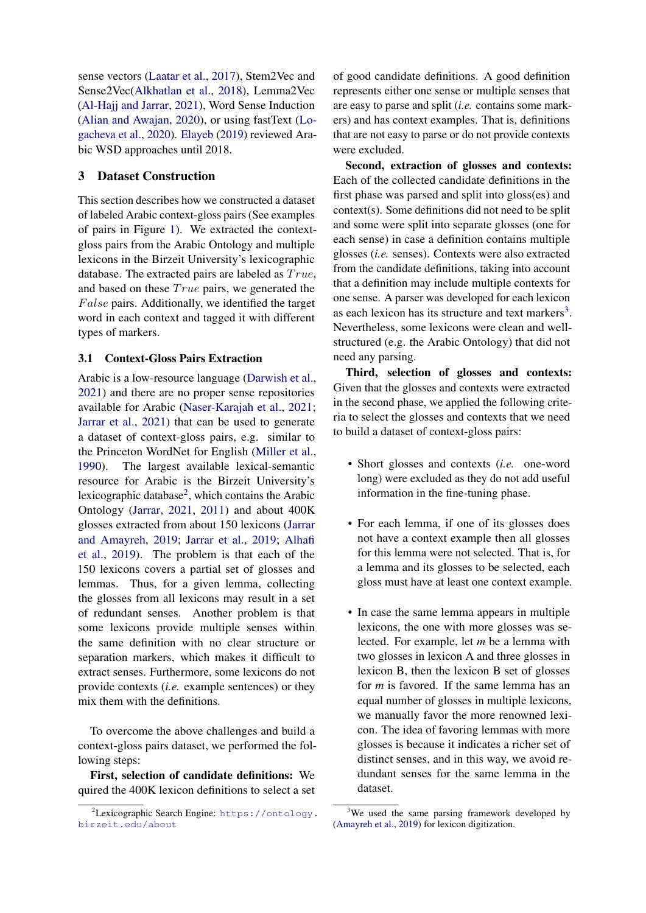sense vectors [\(Laatar et al.,](#page-7-11) [2017\)](#page-7-11), Stem2Vec and Sense2Vec[\(Alkhatlan et al.,](#page-6-5) [2018\)](#page-6-5), Lemma2Vec [\(Al-Hajj and Jarrar,](#page-6-6) [2021\)](#page-6-6), Word Sense Induction [\(Alian and Awajan,](#page-6-7) [2020\)](#page-6-7), or using fastText [\(Lo](#page-7-12)[gacheva et al.,](#page-7-12) [2020\)](#page-7-12). [Elayeb](#page-7-13) [\(2019\)](#page-7-13) reviewed Arabic WSD approaches until 2018.

# <span id="page-2-0"></span>3 Dataset Construction

This section describes how we constructed a dataset of labeled Arabic context-gloss pairs (See examples of pairs in Figure [1\)](#page-4-2). We extracted the contextgloss pairs from the Arabic Ontology and multiple lexicons in the Birzeit University's lexicographic database. The extracted pairs are labeled as  $True$ , and based on these  $True$  pairs, we generated the  $False$  pairs. Additionally, we identified the target word in each context and tagged it with different types of markers.

# 3.1 Context-Gloss Pairs Extraction

Arabic is a low-resource language [\(Darwish et al.,](#page-7-14) [2021\)](#page-7-14) and there are no proper sense repositories available for Arabic [\(Naser-Karajah et al.,](#page-7-15) [2021;](#page-7-15) [Jarrar et al.,](#page-7-16) [2021\)](#page-7-16) that can be used to generate a dataset of context-gloss pairs, e.g. similar to the Princeton WordNet for English [\(Miller et al.,](#page-7-17) [1990\)](#page-7-17). The largest available lexical-semantic resource for Arabic is the Birzeit University's lexicographic database<sup>[2](#page-2-1)</sup>, which contains the Arabic Ontology [\(Jarrar,](#page-7-5) [2021,](#page-7-5) [2011\)](#page-7-18) and about 400K glosses extracted from about 150 lexicons [\(Jarrar](#page-7-6) [and Amayreh,](#page-7-6) [2019;](#page-7-6) [Jarrar et al.,](#page-7-7) [2019;](#page-7-7) [Alhafi](#page-6-8) [et al.,](#page-6-8) [2019\)](#page-6-8). The problem is that each of the 150 lexicons covers a partial set of glosses and lemmas. Thus, for a given lemma, collecting the glosses from all lexicons may result in a set of redundant senses. Another problem is that some lexicons provide multiple senses within the same definition with no clear structure or separation markers, which makes it difficult to extract senses. Furthermore, some lexicons do not provide contexts (*i.e.* example sentences) or they mix them with the definitions.

To overcome the above challenges and build a context-gloss pairs dataset, we performed the following steps:

First, selection of candidate definitions: We quired the 400K lexicon definitions to select a set

of good candidate definitions. A good definition represents either one sense or multiple senses that are easy to parse and split (*i.e.* contains some markers) and has context examples. That is, definitions that are not easy to parse or do not provide contexts were excluded.

Second, extraction of glosses and contexts: Each of the collected candidate definitions in the first phase was parsed and split into gloss(es) and context(s). Some definitions did not need to be split and some were split into separate glosses (one for each sense) in case a definition contains multiple glosses (*i.e.* senses). Contexts were also extracted from the candidate definitions, taking into account that a definition may include multiple contexts for one sense. A parser was developed for each lexicon as each lexicon has its structure and text markers $3$ . Nevertheless, some lexicons were clean and wellstructured (e.g. the Arabic Ontology) that did not need any parsing.

Third, selection of glosses and contexts: Given that the glosses and contexts were extracted in the second phase, we applied the following criteria to select the glosses and contexts that we need to build a dataset of context-gloss pairs:

- Short glosses and contexts (*i.e.* one-word long) were excluded as they do not add useful information in the fine-tuning phase.
- For each lemma, if one of its glosses does not have a context example then all glosses for this lemma were not selected. That is, for a lemma and its glosses to be selected, each gloss must have at least one context example.
- In case the same lemma appears in multiple lexicons, the one with more glosses was selected. For example, let *m* be a lemma with two glosses in lexicon A and three glosses in lexicon B, then the lexicon B set of glosses for *m* is favored. If the same lemma has an equal number of glosses in multiple lexicons, we manually favor the more renowned lexicon. The idea of favoring lemmas with more glosses is because it indicates a richer set of distinct senses, and in this way, we avoid redundant senses for the same lemma in the dataset.

<span id="page-2-1"></span><sup>2</sup>Lexicographic Search Engine: [https://ontology.](https://ontology.birzeit.edu/about) [birzeit.edu/about](https://ontology.birzeit.edu/about)

<span id="page-2-2"></span><sup>&</sup>lt;sup>3</sup>We used the same parsing framework developed by [\(Amayreh et al.,](#page-6-9) [2019\)](#page-6-9) for lexicon digitization.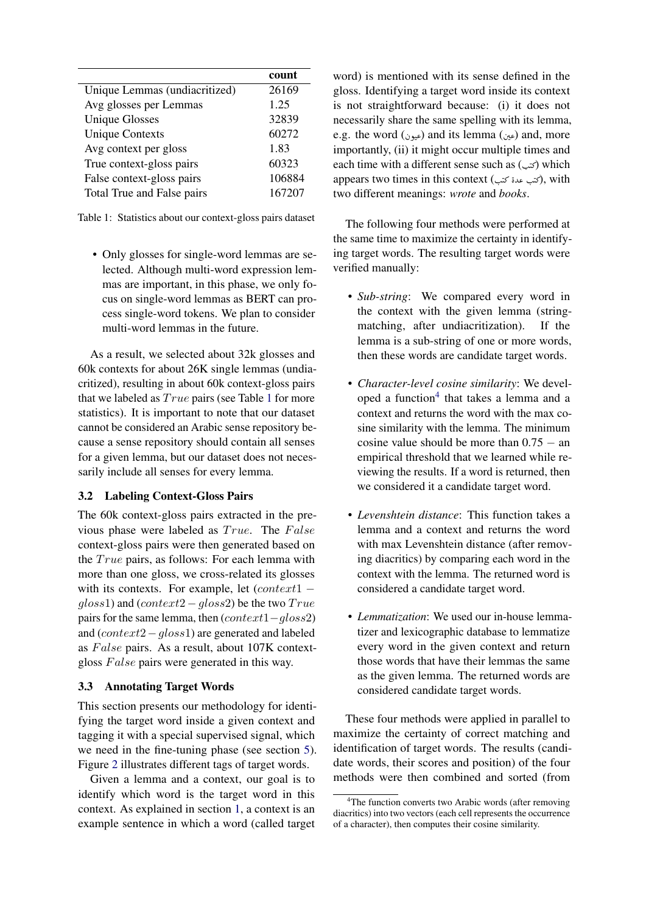<span id="page-3-1"></span>

|                               | count  |
|-------------------------------|--------|
| Unique Lemmas (undiacritized) | 26169  |
| Avg glosses per Lemmas        | 1.25   |
| <b>Unique Glosses</b>         | 32839  |
| <b>Unique Contexts</b>        | 60272  |
| Avg context per gloss         | 1.83   |
| True context-gloss pairs      | 60323  |
| False context-gloss pairs     | 106884 |
| Total True and False pairs    | 167207 |

Table 1: Statistics about our context-gloss pairs dataset

• Only glosses for single-word lemmas are selected. Although multi-word expression lemmas are important, in this phase, we only focus on single-word lemmas as BERT can process single-word tokens. We plan to consider multi-word lemmas in the future.

As a result, we selected about 32k glosses and 60k contexts for about 26K single lemmas (undiacritized), resulting in about 60k context-gloss pairs that we labeled as  $True$  pairs (see Table [1](#page-3-1) for more statistics). It is important to note that our dataset cannot be considered an Arabic sense repository because a sense repository should contain all senses for a given lemma, but our dataset does not necessarily include all senses for every lemma.

## <span id="page-3-3"></span>3.2 Labeling Context-Gloss Pairs

The 60k context-gloss pairs extracted in the previous phase were labeled as  $True$ . The  $False$ context-gloss pairs were then generated based on the  $True$  pairs, as follows: For each lemma with more than one gloss, we cross-related its glosses with its contexts. For example, let  $(context1$  $gloss1)$  and  $(context2-gloss2)$  be the two  $True$ pairs for the same lemma, then (context1−gloss2) and (context2−gloss1) are generated and labeled as  $False$  pairs. As a result, about  $107K$  contextgloss  $False$  pairs were generated in this way.

#### <span id="page-3-0"></span>3.3 Annotating Target Words

This section presents our methodology for identifying the target word inside a given context and tagging it with a special supervised signal, which we need in the fine-tuning phase (see section [5\)](#page-4-0). Figure [2](#page-5-3) illustrates different tags of target words.

Given a lemma and a context, our goal is to identify which word is the target word in this context. As explained in section [1,](#page-0-0) a context is an example sentence in which a word (called target word) is mentioned with its sense defined in the gloss. Identifying a target word inside its context is not straightforward because: (i) it does not necessarily share the same spelling with its lemma, e.g. the word (عين) and its lemma (عيون) and, more .<br>H ŗ importantly, (ii) it might occur multiple times and each time with a different sense such as ( $\infty$ ) which l appears two times in this context (رئتب عدة كتب), with l l two different meanings: *wrote* and *books*.

The following four methods were performed at the same time to maximize the certainty in identifying target words. The resulting target words were verified manually:

- *Sub-string*: We compared every word in the context with the given lemma (stringmatching, after undiacritization). If the lemma is a sub-string of one or more words, then these words are candidate target words.
- *Character-level cosine similarity*: We devel-oped a function<sup>[4](#page-3-2)</sup> that takes a lemma and a context and returns the word with the max cosine similarity with the lemma. The minimum cosine value should be more than  $0.75 -$ an empirical threshold that we learned while reviewing the results. If a word is returned, then we considered it a candidate target word.
- *Levenshtein distance*: This function takes a lemma and a context and returns the word with max Levenshtein distance (after removing diacritics) by comparing each word in the context with the lemma. The returned word is considered a candidate target word.
- *Lemmatization*: We used our in-house lemmatizer and lexicographic database to lemmatize every word in the given context and return those words that have their lemmas the same as the given lemma. The returned words are considered candidate target words.

These four methods were applied in parallel to maximize the certainty of correct matching and identification of target words. The results (candidate words, their scores and position) of the four methods were then combined and sorted (from

<span id="page-3-2"></span><sup>&</sup>lt;sup>4</sup>The function converts two Arabic words (after removing diacritics) into two vectors (each cell represents the occurrence of a character), then computes their cosine similarity.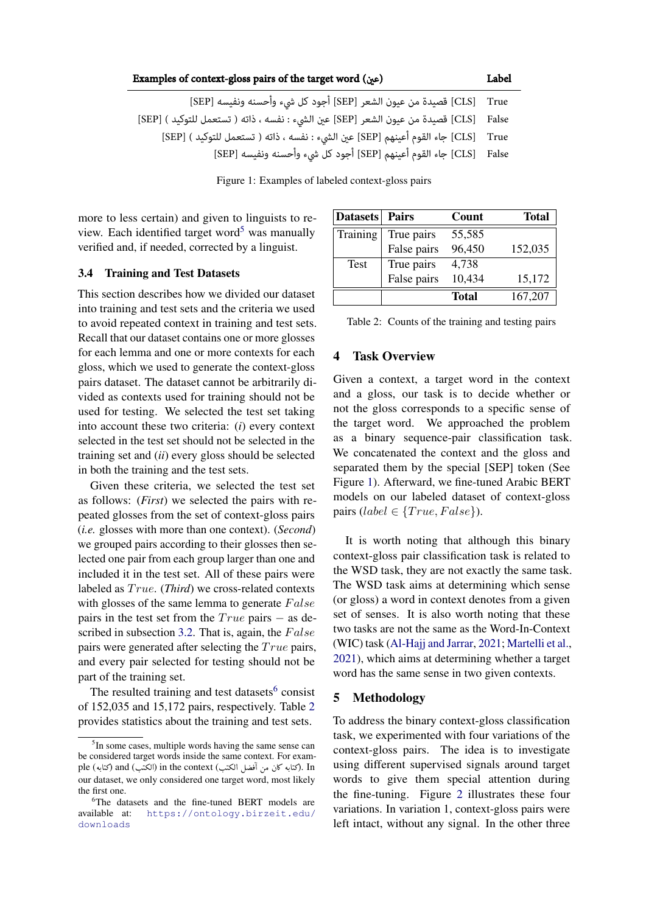<span id="page-4-2"></span>

| Examples of context-gloss pairs of the target word (عين)                                                       | Label |
|----------------------------------------------------------------------------------------------------------------|-------|
| CLS]    True [CLS] قصيدة من عيون الشعر [SEP] أجود كل شيء وأحسنه ونفيسه [SEP]                                   |       |
| CLS] [CLS] قصيدة من عيون الشعر [SEP] عين الشيء : نفسه ، ذاته ( تستعمل للتوكيد ) [SEP]                          |       |
| CLS]     [CLS]         [CLS]                                   فين الشيء : نفسه ، ذاته ( تستعمل للتوكيد ) [SEP |       |
| [CLS]     جاء القوم أعينهم [SEP] أجود كل شيء وأحسنه ونفيسه [SEP]                                               |       |

Figure 1: Examples of labeled context-gloss pairs

more to less certain) and given to linguists to re-view. Each identified target word<sup>[5](#page-4-3)</sup> was manually verified and, if needed, corrected by a linguist.

#### 3.4 Training and Test Datasets

This section describes how we divided our dataset into training and test sets and the criteria we used to avoid repeated context in training and test sets. Recall that our dataset contains one or more glosses for each lemma and one or more contexts for each gloss, which we used to generate the context-gloss pairs dataset. The dataset cannot be arbitrarily divided as contexts used for training should not be used for testing. We selected the test set taking into account these two criteria: (*i*) every context selected in the test set should not be selected in the training set and (*ii*) every gloss should be selected in both the training and the test sets.

Given these criteria, we selected the test set as follows: (*First*) we selected the pairs with repeated glosses from the set of context-gloss pairs (*i.e.* glosses with more than one context). (*Second*) we grouped pairs according to their glosses then selected one pair from each group larger than one and included it in the test set. All of these pairs were labeled as  $True$ . (*Third*) we cross-related contexts with glosses of the same lemma to generate  $False$ pairs in the test set from the  $True$  pairs  $-$  as de-scribed in subsection [3.2.](#page-3-3) That is, again, the  $False$ pairs were generated after selecting the  $True$  pairs, and every pair selected for testing should not be part of the training set.

The resulted training and test datasets $6$  consist of 152,035 and 15,172 pairs, respectively. Table [2](#page-4-5) provides statistics about the training and test sets.

<span id="page-4-5"></span>

| <b>Datasets</b> | <b>Pairs</b> | Count  | Total   |
|-----------------|--------------|--------|---------|
| Training        | True pairs   | 55,585 |         |
|                 | False pairs  | 96,450 | 152,035 |
| <b>Test</b>     | True pairs   | 4,738  |         |
|                 | False pairs  | 10,434 | 15,172  |
|                 |              | Total  | 167,207 |

| Table 2: Counts of the training and testing pairs |  |  |  |
|---------------------------------------------------|--|--|--|
|                                                   |  |  |  |

## <span id="page-4-1"></span>4 Task Overview

Given a context, a target word in the context and a gloss, our task is to decide whether or not the gloss corresponds to a specific sense of the target word. We approached the problem as a binary sequence-pair classification task. We concatenated the context and the gloss and separated them by the special [SEP] token (See Figure [1\)](#page-4-2). Afterward, we fine-tuned Arabic BERT models on our labeled dataset of context-gloss pairs (label  $\in \{True, False\}$ ).

It is worth noting that although this binary context-gloss pair classification task is related to the WSD task, they are not exactly the same task. The WSD task aims at determining which sense (or gloss) a word in context denotes from a given set of senses. It is also worth noting that these two tasks are not the same as the Word-In-Context (WIC) task [\(Al-Hajj and Jarrar,](#page-6-6) [2021;](#page-6-6) [Martelli et al.,](#page-7-19) [2021\)](#page-7-19), which aims at determining whether a target word has the same sense in two given contexts.

### <span id="page-4-0"></span>5 Methodology

To address the binary context-gloss classification task, we experimented with four variations of the context-gloss pairs. The idea is to investigate using different supervised signals around target words to give them special attention during the fine-tuning. Figure [2](#page-5-3) illustrates these four variations. In variation 1, context-gloss pairs were left intact, without any signal. In the other three

<span id="page-4-3"></span><sup>&</sup>lt;sup>5</sup>In some cases, multiple words having the same sense can be considered target words inside the same context. For exam ple (متابه المحمد) oe context (الكتب) in the context (الكتب) and (كتابه على المحمد) and<br>المحمد) . In اركتابه كان من آفضل الكتب) in the context (الكتب) . A Ì Į .<br>.  $\ddot{\phantom{0}}$ . A ا<br>. our dataset, we only considered one target word, most likely the first one.

<span id="page-4-4"></span><sup>6</sup>The datasets and the fine-tuned BERT models are available at: [https://ontology.birzeit.edu/]( https://ontology.birzeit.edu/downloads) [downloads]( https://ontology.birzeit.edu/downloads)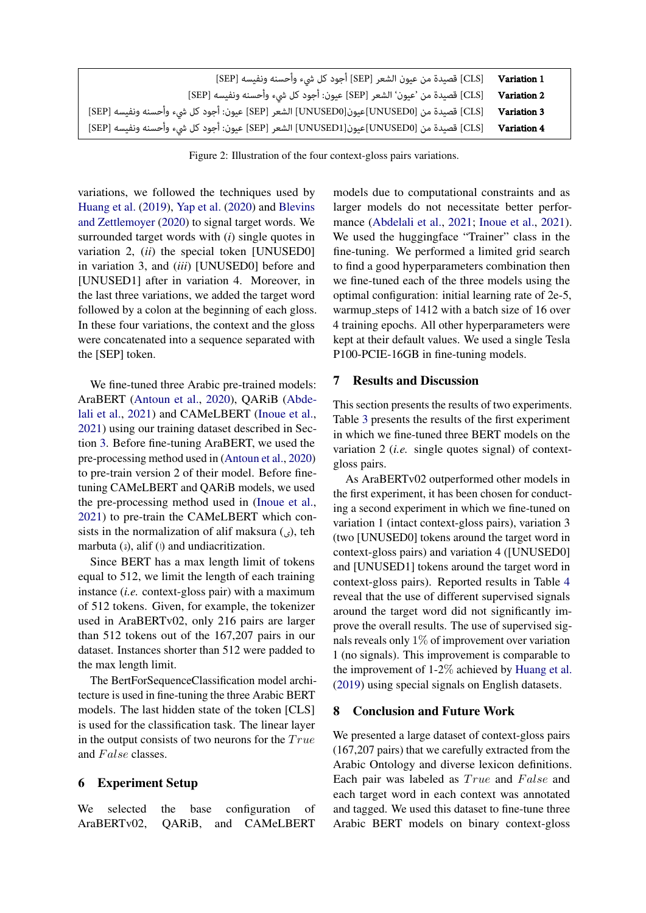<span id="page-5-3"></span>

| [CLS] قصيدة من عيون الشعر [SEP] أجود كل شيء وأحسنه ونفيسه [SEP]                         | Variation 1        |
|-----------------------------------------------------------------------------------------|--------------------|
| [CLS] قصيدة من 'عيون' الشعر [SEP] عيون: أجود كل شيء وأحسنه ونفيسه [SEP]                 | Variation 2        |
| [CLS] قصيدة من [UNUSED0]عيون[UNUSED0] الشعر [SEP] عيون: أجود كل شيء وأحسنه ونفيسه [SEP] | Variation 3        |
| [CLS] قصيدة من [UNUSED0]عيون[UNUSED1] الشعر [SEP] عيون: أجود كل شيء وأحسنه ونفيسه [SEP] | <b>Variation 4</b> |

Figure 2: Illustration of the four context-gloss pairs variations.

variations, we followed the techniques used by [Huang et al.](#page-7-4) [\(2019\)](#page-7-4), [Yap et al.](#page-8-1) [\(2020\)](#page-8-1) and [Blevins](#page-6-0) [and Zettlemoyer](#page-6-0) [\(2020\)](#page-6-0) to signal target words. We surrounded target words with (*i*) single quotes in variation 2, (*ii*) the special token [UNUSED0] in variation 3, and (*iii*) [UNUSED0] before and [UNUSED1] after in variation 4. Moreover, in the last three variations, we added the target word followed by a colon at the beginning of each gloss. In these four variations, the context and the gloss were concatenated into a sequence separated with the [SEP] token.

We fine-tuned three Arabic pre-trained models: AraBERT [\(Antoun et al.,](#page-6-1) [2020\)](#page-6-1), QARiB [\(Abde](#page-6-2)[lali et al.,](#page-6-2) [2021\)](#page-6-2) and CAMeLBERT [\(Inoue et al.,](#page-7-8) [2021\)](#page-7-8) using our training dataset described in Section [3.](#page-2-0) Before fine-tuning AraBERT, we used the pre-processing method used in [\(Antoun et al.,](#page-6-1) [2020\)](#page-6-1) to pre-train version 2 of their model. Before finetuning CAMeLBERT and QARiB models, we used the pre-processing method used in [\(Inoue et al.,](#page-7-8) [2021\)](#page-7-8) to pre-train the CAMeLBERT which consists in the normalization of alif maksura  $\binom{6}{x}$ , teh marbuta  $(i)$ , alif  $(i)$  and undiacritization.

Since BERT has a max length limit of tokens equal to 512, we limit the length of each training instance (*i.e.* context-gloss pair) with a maximum of 512 tokens. Given, for example, the tokenizer used in AraBERTv02, only 216 pairs are larger than 512 tokens out of the 167,207 pairs in our dataset. Instances shorter than 512 were padded to the max length limit.

The BertForSequenceClassification model architecture is used in fine-tuning the three Arabic BERT models. The last hidden state of the token [CLS] is used for the classification task. The linear layer in the output consists of two neurons for the  $True$ and False classes.

### <span id="page-5-0"></span>6 Experiment Setup

We selected the base configuration of AraBERTv02, QARiB, and CAMeLBERT

models due to computational constraints and as larger models do not necessitate better perfor-mance [\(Abdelali et al.,](#page-6-2) [2021;](#page-6-2) [Inoue et al.,](#page-7-8) [2021\)](#page-7-8). We used the huggingface "Trainer" class in the fine-tuning. We performed a limited grid search to find a good hyperparameters combination then we fine-tuned each of the three models using the optimal configuration: initial learning rate of 2e-5, warmup steps of 1412 with a batch size of 16 over 4 training epochs. All other hyperparameters were kept at their default values. We used a single Tesla P100-PCIE-16GB in fine-tuning models.

### <span id="page-5-1"></span>7 Results and Discussion

This section presents the results of two experiments. Table [3](#page-6-10) presents the results of the first experiment in which we fine-tuned three BERT models on the variation 2 (*i.e.* single quotes signal) of contextgloss pairs.

As AraBERTv02 outperformed other models in the first experiment, it has been chosen for conducting a second experiment in which we fine-tuned on variation 1 (intact context-gloss pairs), variation 3 (two [UNUSED0] tokens around the target word in context-gloss pairs) and variation 4 ([UNUSED0] and [UNUSED1] tokens around the target word in context-gloss pairs). Reported results in Table [4](#page-6-11) reveal that the use of different supervised signals around the target word did not significantly improve the overall results. The use of supervised signals reveals only  $1\%$  of improvement over variation 1 (no signals). This improvement is comparable to the improvement of 1-2% achieved by [Huang et al.](#page-7-4) [\(2019\)](#page-7-4) using special signals on English datasets.

### <span id="page-5-2"></span>8 Conclusion and Future Work

We presented a large dataset of context-gloss pairs (167,207 pairs) that we carefully extracted from the Arabic Ontology and diverse lexicon definitions. Each pair was labeled as  $True$  and  $False$  and each target word in each context was annotated and tagged. We used this dataset to fine-tune three Arabic BERT models on binary context-gloss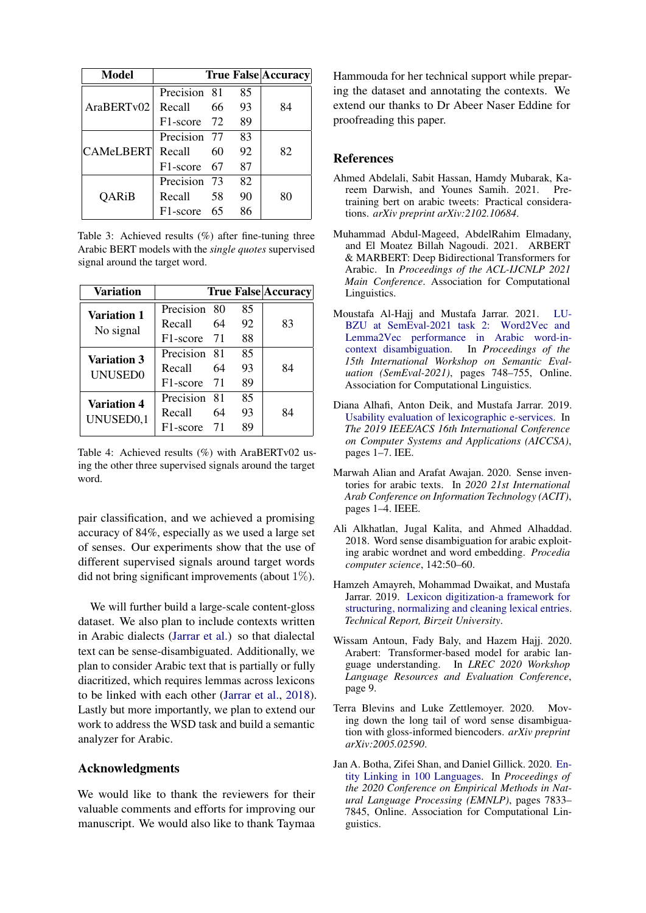<span id="page-6-10"></span>

| <b>Model</b> |              |    |    | <b>True False Accuracy</b> |
|--------------|--------------|----|----|----------------------------|
| AraBERTv02   | Precision 81 |    | 85 |                            |
|              | Recall       | 66 | 93 | 84                         |
|              | F1-score 72  |    | 89 |                            |
| CAMeLBERT    | Precision 77 |    | 83 |                            |
|              | Recall       | 60 | 92 | 82                         |
|              | F1-score 67  |    | 87 |                            |
| <b>QARiB</b> | Precision 73 |    | 82 |                            |
|              | Recall       | 58 | 90 | 80                         |
|              | F1-score     | 65 | 86 |                            |

Table 3: Achieved results (%) after fine-tuning three Arabic BERT models with the *single quotes* supervised signal around the target word.

<span id="page-6-11"></span>

| Variation                                   |                       |    |    | <b>True False Accuracy</b> |
|---------------------------------------------|-----------------------|----|----|----------------------------|
| Variation 1<br>No signal                    | Precision             | 80 | 85 |                            |
|                                             | Recall                | 64 | 92 | 83                         |
|                                             | F <sub>1</sub> -score | 71 | 88 |                            |
| <b>Variation 3</b><br><b>UNUSED0</b>        | Precision 81          |    | 85 |                            |
|                                             | Recall                | 64 | 93 | 84                         |
|                                             | F1-score              | 71 | 89 |                            |
| <b>Variation 4</b><br>UNUSED <sub>0,1</sub> | Precision             | 81 | 85 |                            |
|                                             | Recall                | 64 | 93 | 84                         |
|                                             | F1-score              | 71 | 89 |                            |

Table 4: Achieved results (%) with AraBERTv02 using the other three supervised signals around the target word.

pair classification, and we achieved a promising accuracy of 84%, especially as we used a large set of senses. Our experiments show that the use of different supervised signals around target words did not bring significant improvements (about  $1\%$ ).

We will further build a large-scale content-gloss dataset. We also plan to include contexts written in Arabic dialects [\(Jarrar et al.\)](#page-7-20) so that dialectal text can be sense-disambiguated. Additionally, we plan to consider Arabic text that is partially or fully diacritized, which requires lemmas across lexicons to be linked with each other [\(Jarrar et al.,](#page-7-21) [2018\)](#page-7-21). Lastly but more importantly, we plan to extend our work to address the WSD task and build a semantic analyzer for Arabic.

# Acknowledgments

We would like to thank the reviewers for their valuable comments and efforts for improving our manuscript. We would also like to thank Taymaa Hammouda for her technical support while preparing the dataset and annotating the contexts. We extend our thanks to Dr Abeer Naser Eddine for proofreading this paper.

## References

- <span id="page-6-2"></span>Ahmed Abdelali, Sabit Hassan, Hamdy Mubarak, Kareem Darwish, and Younes Samih. 2021. Pretraining bert on arabic tweets: Practical considerations. *arXiv preprint arXiv:2102.10684*.
- <span id="page-6-3"></span>Muhammad Abdul-Mageed, AbdelRahim Elmadany, and El Moatez Billah Nagoudi. 2021. ARBERT & MARBERT: Deep Bidirectional Transformers for Arabic. In *Proceedings of the ACL-IJCNLP 2021 Main Conference*. Association for Computational Linguistics.
- <span id="page-6-6"></span>Moustafa Al-Hajj and Mustafa Jarrar. 2021. [LU-](https://doi.org/10.18653/v1/2021.semeval-1.99)[BZU at SemEval-2021 task 2: Word2Vec and](https://doi.org/10.18653/v1/2021.semeval-1.99) [Lemma2Vec performance in Arabic word-in](https://doi.org/10.18653/v1/2021.semeval-1.99)[context disambiguation.](https://doi.org/10.18653/v1/2021.semeval-1.99) In *Proceedings of the 15th International Workshop on Semantic Evaluation (SemEval-2021)*, pages 748–755, Online. Association for Computational Linguistics.
- <span id="page-6-8"></span>Diana Alhafi, Anton Deik, and Mustafa Jarrar. 2019. [Usability evaluation of lexicographic e-services.](https://doi.org/10.1109/AICCSA47632.2019.9035226) In *The 2019 IEEE/ACS 16th International Conference on Computer Systems and Applications (AICCSA)*, pages 1–7. IEE.
- <span id="page-6-7"></span>Marwah Alian and Arafat Awajan. 2020. Sense inventories for arabic texts. In *2020 21st International Arab Conference on Information Technology (ACIT)*, pages 1–4. IEEE.
- <span id="page-6-5"></span>Ali Alkhatlan, Jugal Kalita, and Ahmed Alhaddad. 2018. Word sense disambiguation for arabic exploiting arabic wordnet and word embedding. *Procedia computer science*, 142:50–60.
- <span id="page-6-9"></span>Hamzeh Amayreh, Mohammad Dwaikat, and Mustafa Jarrar. 2019. [Lexicon digitization-a framework for](http://www.jarrar.info/publications/ADJ18.pdf) [structuring, normalizing and cleaning lexical entries.](http://www.jarrar.info/publications/ADJ18.pdf) *Technical Report, Birzeit University*.
- <span id="page-6-1"></span>Wissam Antoun, Fady Baly, and Hazem Hajj. 2020. Arabert: Transformer-based model for arabic language understanding. In *LREC 2020 Workshop Language Resources and Evaluation Conference*, page 9.
- <span id="page-6-0"></span>Terra Blevins and Luke Zettlemoyer. 2020. Moving down the long tail of word sense disambiguation with gloss-informed biencoders. *arXiv preprint arXiv:2005.02590*.
- <span id="page-6-4"></span>Jan A. Botha, Zifei Shan, and Daniel Gillick. 2020. [En](https://doi.org/10.18653/v1/2020.emnlp-main.630)[tity Linking in 100 Languages.](https://doi.org/10.18653/v1/2020.emnlp-main.630) In *Proceedings of the 2020 Conference on Empirical Methods in Natural Language Processing (EMNLP)*, pages 7833– 7845, Online. Association for Computational Linguistics.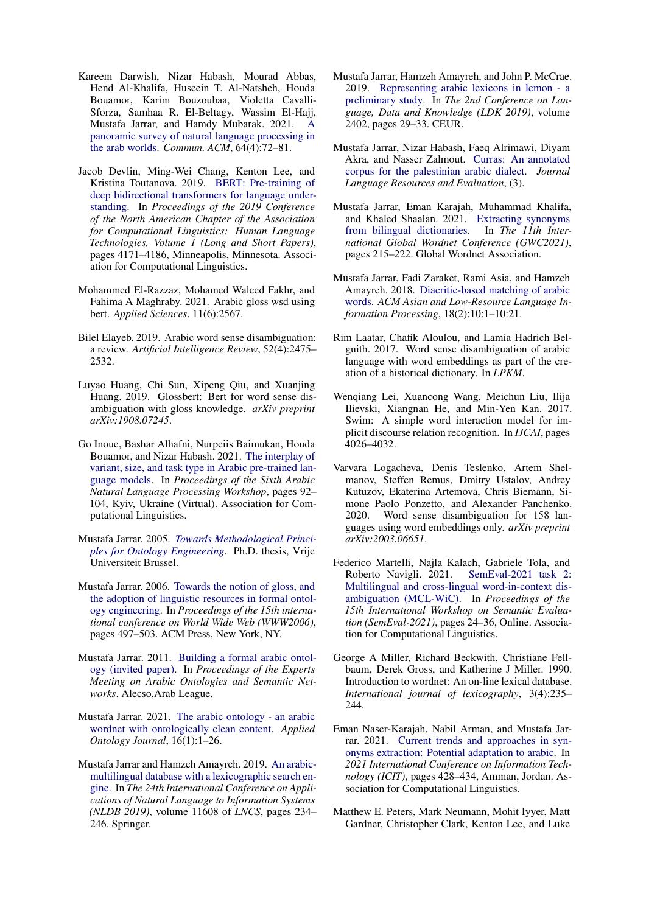- <span id="page-7-14"></span>Kareem Darwish, Nizar Habash, Mourad Abbas, Hend Al-Khalifa, Huseein T. Al-Natsheh, Houda Bouamor, Karim Bouzoubaa, Violetta Cavalli-Sforza, Samhaa R. El-Beltagy, Wassim El-Hajj, Mustafa Jarrar, and Hamdy Mubarak. 2021. [A](https://doi.org/10.1145/3447735) [panoramic survey of natural language processing in](https://doi.org/10.1145/3447735) [the arab worlds.](https://doi.org/10.1145/3447735) *Commun. ACM*, 64(4):72–81.
- <span id="page-7-0"></span>Jacob Devlin, Ming-Wei Chang, Kenton Lee, and Kristina Toutanova. 2019. [BERT: Pre-training of](https://doi.org/10.18653/v1/N19-1423) [deep bidirectional transformers for language under](https://doi.org/10.18653/v1/N19-1423)[standing.](https://doi.org/10.18653/v1/N19-1423) In *Proceedings of the 2019 Conference of the North American Chapter of the Association for Computational Linguistics: Human Language Technologies, Volume 1 (Long and Short Papers)*, pages 4171–4186, Minneapolis, Minnesota. Association for Computational Linguistics.
- <span id="page-7-10"></span>Mohammed El-Razzaz, Mohamed Waleed Fakhr, and Fahima A Maghraby. 2021. Arabic gloss wsd using bert. *Applied Sciences*, 11(6):2567.
- <span id="page-7-13"></span>Bilel Elayeb. 2019. Arabic word sense disambiguation: a review. *Artificial Intelligence Review*, 52(4):2475– 2532.
- <span id="page-7-4"></span>Luyao Huang, Chi Sun, Xipeng Qiu, and Xuanjing Huang. 2019. Glossbert: Bert for word sense disambiguation with gloss knowledge. *arXiv preprint arXiv:1908.07245*.
- <span id="page-7-8"></span>Go Inoue, Bashar Alhafni, Nurpeiis Baimukan, Houda Bouamor, and Nizar Habash. 2021. [The interplay of](https://aclanthology.org/2021.wanlp-1.10) [variant, size, and task type in Arabic pre-trained lan](https://aclanthology.org/2021.wanlp-1.10)[guage models.](https://aclanthology.org/2021.wanlp-1.10) In *Proceedings of the Sixth Arabic Natural Language Processing Workshop*, pages 92– 104, Kyiv, Ukraine (Virtual). Association for Computational Linguistics.
- <span id="page-7-3"></span>Mustafa Jarrar. 2005. *[Towards Methodological Princi](http://www.jarrar.info/phd-thesis/JarrarPhDThesisV167.pdf)[ples for Ontology Engineering](http://www.jarrar.info/phd-thesis/JarrarPhDThesisV167.pdf)*. Ph.D. thesis, Vrije Universiteit Brussel.
- <span id="page-7-2"></span>Mustafa Jarrar. 2006. [Towards the notion of gloss, and](https://doi.org/10.1145/1135777.1135850) [the adoption of linguistic resources in formal ontol](https://doi.org/10.1145/1135777.1135850)[ogy engineering.](https://doi.org/10.1145/1135777.1135850) In *Proceedings of the 15th international conference on World Wide Web (WWW2006)*, pages 497–503. ACM Press, New York, NY.
- <span id="page-7-18"></span>Mustafa Jarrar. 2011. [Building a formal arabic ontol](http://www.jarrar.info/publications/J11.pdf)[ogy \(invited paper\).](http://www.jarrar.info/publications/J11.pdf) In *Proceedings of the Experts Meeting on Arabic Ontologies and Semantic Networks*. Alecso,Arab League.
- <span id="page-7-5"></span>Mustafa Jarrar. 2021. [The arabic ontology - an arabic](https://doi.org/10.3233/AO-200241) [wordnet with ontologically clean content.](https://doi.org/10.3233/AO-200241) *Applied Ontology Journal*, 16(1):1–26.
- <span id="page-7-6"></span>Mustafa Jarrar and Hamzeh Amayreh. 2019. [An arabic](https://doi.org/10.1007/978-3-030-23281-8_19)[multilingual database with a lexicographic search en](https://doi.org/10.1007/978-3-030-23281-8_19)[gine.](https://doi.org/10.1007/978-3-030-23281-8_19) In *The 24th International Conference on Applications of Natural Language to Information Systems (NLDB 2019)*, volume 11608 of *LNCS*, pages 234– 246. Springer.
- <span id="page-7-7"></span>Mustafa Jarrar, Hamzeh Amayreh, and John P. McCrae. 2019. [Representing arabic lexicons in lemon - a](http://www.jarrar.info/publications/JAM19.pdf) [preliminary study.](http://www.jarrar.info/publications/JAM19.pdf) In *The 2nd Conference on Language, Data and Knowledge (LDK 2019)*, volume 2402, pages 29–33. CEUR.
- <span id="page-7-20"></span>Mustafa Jarrar, Nizar Habash, Faeq Alrimawi, Diyam Akra, and Nasser Zalmout. [Curras: An annotated](https://doi.org/10.1007/S10579-016-9370-7) [corpus for the palestinian arabic dialect.](https://doi.org/10.1007/S10579-016-9370-7) *Journal Language Resources and Evaluation*, (3).
- <span id="page-7-16"></span>Mustafa Jarrar, Eman Karajah, Muhammad Khalifa, and Khaled Shaalan. 2021. [Extracting synonyms](http://www.jarrar.info/publications/JKKS21.pdf) [from bilingual dictionaries.](http://www.jarrar.info/publications/JKKS21.pdf) In *The 11th International Global Wordnet Conference (GWC2021)*, pages 215–222. Global Wordnet Association.
- <span id="page-7-21"></span>Mustafa Jarrar, Fadi Zaraket, Rami Asia, and Hamzeh Amayreh. 2018. [Diacritic-based matching of arabic](https://doi.org/10.1145/3242177) [words.](https://doi.org/10.1145/3242177) *ACM Asian and Low-Resource Language Information Processing*, 18(2):10:1–10:21.
- <span id="page-7-11"></span>Rim Laatar, Chafik Aloulou, and Lamia Hadrich Belguith. 2017. Word sense disambiguation of arabic language with word embeddings as part of the creation of a historical dictionary. In *LPKM*.
- <span id="page-7-9"></span>Wenqiang Lei, Xuancong Wang, Meichun Liu, Ilija Ilievski, Xiangnan He, and Min-Yen Kan. 2017. Swim: A simple word interaction model for implicit discourse relation recognition. In *IJCAI*, pages 4026–4032.
- <span id="page-7-12"></span>Varvara Logacheva, Denis Teslenko, Artem Shelmanov, Steffen Remus, Dmitry Ustalov, Andrey Kutuzov, Ekaterina Artemova, Chris Biemann, Simone Paolo Ponzetto, and Alexander Panchenko. 2020. Word sense disambiguation for 158 languages using word embeddings only. *arXiv preprint arXiv:2003.06651*.
- <span id="page-7-19"></span>Federico Martelli, Najla Kalach, Gabriele Tola, and Roberto Navigli. 2021. [SemEval-2021 task 2:](https://doi.org/10.18653/v1/2021.semeval-1.3) [Multilingual and cross-lingual word-in-context dis](https://doi.org/10.18653/v1/2021.semeval-1.3)[ambiguation \(MCL-WiC\).](https://doi.org/10.18653/v1/2021.semeval-1.3) In *Proceedings of the 15th International Workshop on Semantic Evaluation (SemEval-2021)*, pages 24–36, Online. Association for Computational Linguistics.
- <span id="page-7-17"></span>George A Miller, Richard Beckwith, Christiane Fellbaum, Derek Gross, and Katherine J Miller. 1990. Introduction to wordnet: An on-line lexical database. *International journal of lexicography*, 3(4):235– 244.
- <span id="page-7-15"></span>Eman Naser-Karajah, Nabil Arman, and Mustafa Jarrar. 2021. [Current trends and approaches in syn](https://doi.org/10.1109/ICIT52682.2021.9491713)[onyms extraction: Potential adaptation to arabic.](https://doi.org/10.1109/ICIT52682.2021.9491713) In *2021 International Conference on Information Technology (ICIT)*, pages 428–434, Amman, Jordan. Association for Computational Linguistics.
- <span id="page-7-1"></span>Matthew E. Peters, Mark Neumann, Mohit Iyyer, Matt Gardner, Christopher Clark, Kenton Lee, and Luke